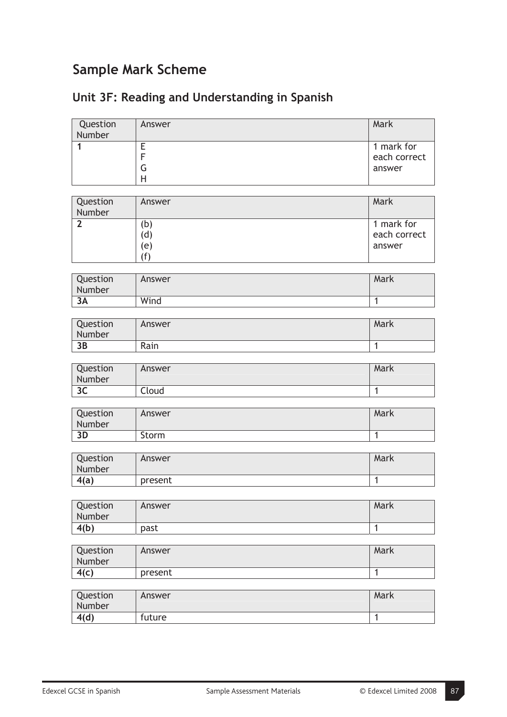## **Sample Mark Scheme**

## **Unit 3F: Reading and Understanding in Spanish**

| Question       | Answer  | Mark           |
|----------------|---------|----------------|
| Number<br>1    | Ε       | 1 mark for     |
|                | F       | each correct   |
|                | G       | answer         |
|                | H       |                |
|                |         |                |
| Question       | Answer  | Mark           |
| Number         |         |                |
| $\overline{2}$ | (b)     | 1 mark for     |
|                | (d)     | each correct   |
|                | (e)     | answer         |
|                | (f)     |                |
|                |         |                |
| Question       | Answer  | Mark           |
| Number         |         |                |
| 3A             | Wind    | $\mathbf{1}$   |
|                |         |                |
| Question       | Answer  | Mark           |
| Number         |         |                |
| 3B             | Rain    | $\mathbf{1}$   |
|                |         |                |
| Question       | Answer  | Mark           |
| Number<br>3C   | Cloud   | $\mathbf{1}$   |
|                |         |                |
| Question       | Answer  | Mark           |
| Number         |         |                |
| 3D             | Storm   | $\mathbf{1}$   |
|                |         |                |
| Question       | Answer  | Mark           |
| Number         |         |                |
| 4(a)           | present | 1              |
|                |         |                |
| Question       | Answer  | Mark           |
| Number         |         |                |
| 4(b)           | past    | $\overline{1}$ |
|                |         |                |
| Question       | Answer  | Mark           |
| Number         |         |                |
| 4(c)           | present | $\mathbf{1}$   |
|                |         |                |
| Question       | Answer  | Mark           |
| Number         |         |                |
| 4(d)           | future  | $\overline{1}$ |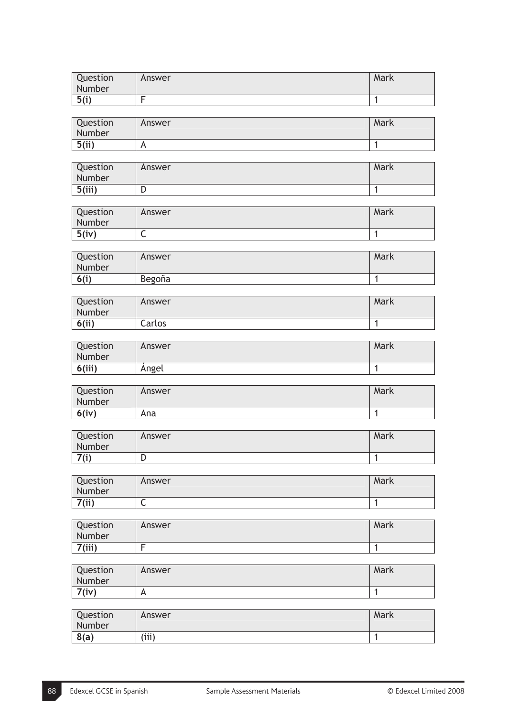| Question<br>Number | Answer | Mark |
|--------------------|--------|------|
| 5(i)               |        |      |

| Question<br>Number | Answer         | Mark |
|--------------------|----------------|------|
| 5(ii)              | $\overline{A}$ |      |

| Question<br>Number | Answer | Mark |
|--------------------|--------|------|
| 5(iii)             | ◡      |      |

| Question<br>Number | Answer | Mark |
|--------------------|--------|------|
| 5(iv)              | ∼      |      |

| Question | Answer | Mark |
|----------|--------|------|
| Number   |        |      |
| 6(i)     | Begoña |      |

| Question<br>Number | Answer | Mark |
|--------------------|--------|------|
| 6(ii)              | Carlos |      |

| Question<br>Number | Answer | Mark |
|--------------------|--------|------|
| 6(iii)             | Angel  |      |

| Question<br>Number | Answer | Mark |
|--------------------|--------|------|
| 6(iv)              | Ana    |      |

| Question<br>Number | Answer | Mark |
|--------------------|--------|------|
| 7(2)               | ◡      |      |

| Question<br>Number | Answer | Mark |
|--------------------|--------|------|
| 7(ii)              | ∼      |      |

| Question<br>Number | Answer | Mark |
|--------------------|--------|------|
| 7(iii)             |        |      |

| Question<br>Number | Answer | Mark |
|--------------------|--------|------|
| 7(iv)              | А      |      |
|                    |        |      |

| Question<br>Number | Answer | Mark |
|--------------------|--------|------|
| 8(a)               | (iii)  |      |